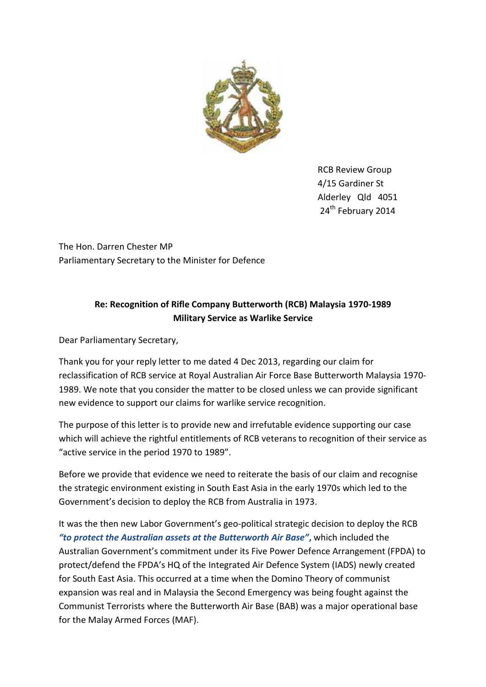

RCB Review Group 4/15 Gardiner St Alderley Qld 4051 24<sup>th</sup> February 2014

The Hon. Darren Chester MP Parliamentary Secretary to the Minister for Defence

# **Re: Recognition of Rifle Company Butterworth (RCB) Malaysia 1970-1989 Military Service as Warlike Service**

Dear Parliamentary Secretary,

Thank you for your reply letter to me dated 4 Dec 2013, regarding our claim for reclassification of RCB service at Royal Australian Air Force Base Butterworth Malaysia 1970- 1989. We note that you consider the matter to be closed unless we can provide significant new evidence to support our claims for warlike service recognition.

The purpose of this letter is to provide new and irrefutable evidence supporting our case which will achieve the rightful entitlements of RCB veterans to recognition of their service as "active service in the period 1970 to 1989".

Before we provide that evidence we need to reiterate the basis of our claim and recognise the strategic environment existing in South East Asia in the early 1970s which led to the Government's decision to deploy the RCB from Australia in 1973.

It was the then new Labor Government's geo-political strategic decision to deploy the RCB *"to protect the Australian assets at the Butterworth Air Base"***,** which included the Australian Government's commitment under its Five Power Defence Arrangement (FPDA) to protect/defend the FPDA's HQ of the Integrated Air Defence System (IADS) newly created for South East Asia. This occurred at a time when the Domino Theory of communist expansion was real and in Malaysia the Second Emergency was being fought against the Communist Terrorists where the Butterworth Air Base (BAB) was a major operational base for the Malay Armed Forces (MAF).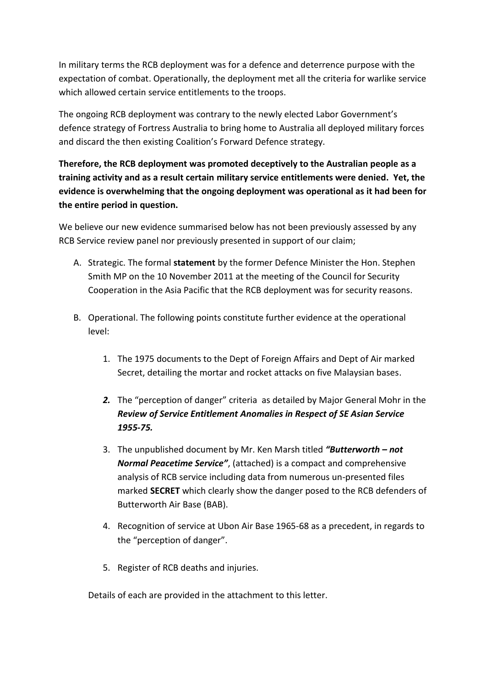In military terms the RCB deployment was for a defence and deterrence purpose with the expectation of combat. Operationally, the deployment met all the criteria for warlike service which allowed certain service entitlements to the troops.

The ongoing RCB deployment was contrary to the newly elected Labor Government's defence strategy of Fortress Australia to bring home to Australia all deployed military forces and discard the then existing Coalition's Forward Defence strategy.

**Therefore, the RCB deployment was promoted deceptively to the Australian people as a training activity and as a result certain military service entitlements were denied. Yet, the evidence is overwhelming that the ongoing deployment was operational as it had been for the entire period in question.**

We believe our new evidence summarised below has not been previously assessed by any RCB Service review panel nor previously presented in support of our claim;

- A. Strategic. The formal **statement** by the former Defence Minister the Hon. Stephen Smith MP on the 10 November 2011 at the meeting of the Council for Security Cooperation in the Asia Pacific that the RCB deployment was for security reasons.
- B. Operational. The following points constitute further evidence at the operational level:
	- 1. The 1975 documents to the Dept of Foreign Affairs and Dept of Air marked Secret, detailing the mortar and rocket attacks on five Malaysian bases.
	- *2.* The "perception of danger" criteria as detailed by Major General Mohr in the *Review of Service Entitlement Anomalies in Respect of SE Asian Service 1955-75.*
	- 3. The unpublished document by Mr. Ken Marsh titled *"Butterworth – not Normal Peacetime Service"*, (attached) is a compact and comprehensive analysis of RCB service including data from numerous un-presented files marked **SECRET** which clearly show the danger posed to the RCB defenders of Butterworth Air Base (BAB).
	- 4. Recognition of service at Ubon Air Base 1965-68 as a precedent, in regards to the "perception of danger".
	- 5. Register of RCB deaths and injuries.

Details of each are provided in the attachment to this letter.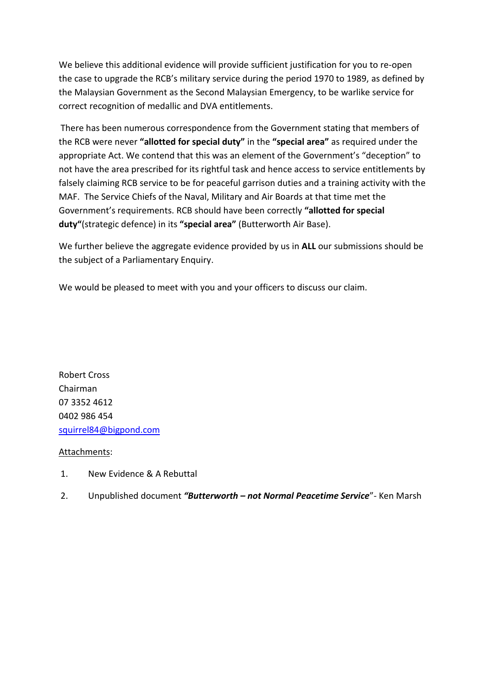We believe this additional evidence will provide sufficient justification for you to re-open the case to upgrade the RCB's military service during the period 1970 to 1989, as defined by the Malaysian Government as the Second Malaysian Emergency, to be warlike service for correct recognition of medallic and DVA entitlements.

There has been numerous correspondence from the Government stating that members of the RCB were never **"allotted for special duty"** in the **"special area"** as required under the appropriate Act. We contend that this was an element of the Government's "deception" to not have the area prescribed for its rightful task and hence access to service entitlements by falsely claiming RCB service to be for peaceful garrison duties and a training activity with the MAF. The Service Chiefs of the Naval, Military and Air Boards at that time met the Government's requirements. RCB should have been correctly **"allotted for special duty"**(strategic defence) in its **"special area"** (Butterworth Air Base).

We further believe the aggregate evidence provided by us in **ALL** our submissions should be the subject of a Parliamentary Enquiry.

We would be pleased to meet with you and your officers to discuss our claim.

Robert Cross Chairman 07 3352 4612 0402 986 454 [squirrel84@bigpond.com](mailto:squirrel84@bigpond.com) 

#### Attachments:

- 1. New Evidence & A Rebuttal
- 2. Unpublished document *"Butterworth – not Normal Peacetime Service*"- Ken Marsh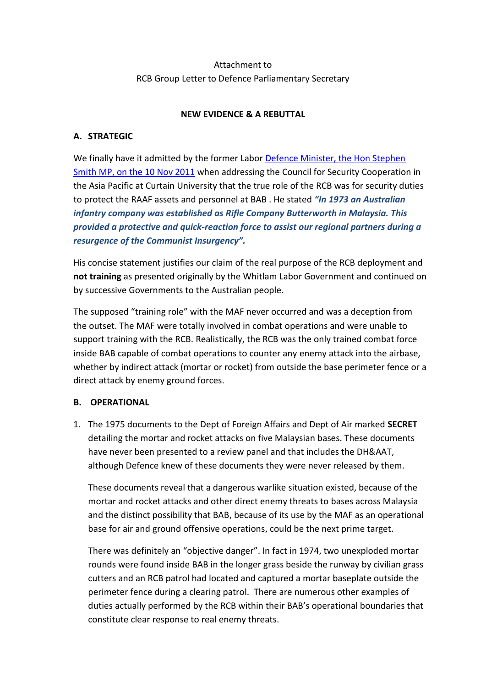# Attachment to RCB Group Letter to Defence Parliamentary Secretary

### **NEW EVIDENCE & A REBUTTAL**

### **A. STRATEGIC**

We finally have it admitted by the former Labor [Defence Minister, the Hon Stephen](http://www.minister.defence.gov.au/2011/11/10/minister-for-defence-address-to-the-australian-member-committee-of-the-council-for-security-cooperation-in-the-asia-pacific/)  [Smith MP, on the 10 Nov 2011](http://www.minister.defence.gov.au/2011/11/10/minister-for-defence-address-to-the-australian-member-committee-of-the-council-for-security-cooperation-in-the-asia-pacific/) when addressing the Council for Security Cooperation in the Asia Pacific at Curtain University that the true role of the RCB was for security duties to protect the RAAF assets and personnel at BAB . He stated *"In 1973 an Australian infantry company was established as Rifle Company Butterworth in Malaysia. This provided a protective and quick-reaction force to assist our regional partners during a resurgence of the Communist Insurgency".* 

His concise statement justifies our claim of the real purpose of the RCB deployment and **not training** as presented originally by the Whitlam Labor Government and continued on by successive Governments to the Australian people.

The supposed "training role" with the MAF never occurred and was a deception from the outset. The MAF were totally involved in combat operations and were unable to support training with the RCB. Realistically, the RCB was the only trained combat force inside BAB capable of combat operations to counter any enemy attack into the airbase, whether by indirect attack (mortar or rocket) from outside the base perimeter fence or a direct attack by enemy ground forces.

#### **B. OPERATIONAL**

1. The 1975 documents to the Dept of Foreign Affairs and Dept of Air marked **SECRET** detailing the mortar and rocket attacks on five Malaysian bases. These documents have never been presented to a review panel and that includes the DH&AAT, although Defence knew of these documents they were never released by them.

These documents reveal that a dangerous warlike situation existed, because of the mortar and rocket attacks and other direct enemy threats to bases across Malaysia and the distinct possibility that BAB, because of its use by the MAF as an operational base for air and ground offensive operations, could be the next prime target.

There was definitely an "objective danger". In fact in 1974, two unexploded mortar rounds were found inside BAB in the longer grass beside the runway by civilian grass cutters and an RCB patrol had located and captured a mortar baseplate outside the perimeter fence during a clearing patrol. There are numerous other examples of duties actually performed by the RCB within their BAB's operational boundaries that constitute clear response to real enemy threats.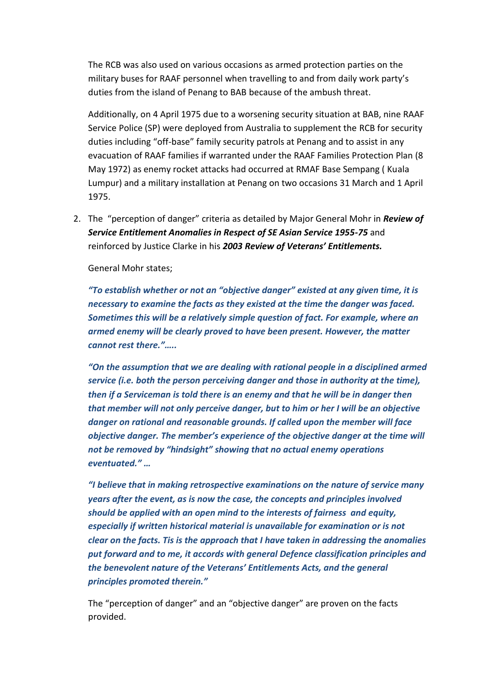The RCB was also used on various occasions as armed protection parties on the military buses for RAAF personnel when travelling to and from daily work party's duties from the island of Penang to BAB because of the ambush threat.

Additionally, on 4 April 1975 due to a worsening security situation at BAB, nine RAAF Service Police (SP) were deployed from Australia to supplement the RCB for security duties including "off-base" family security patrols at Penang and to assist in any evacuation of RAAF families if warranted under the RAAF Families Protection Plan (8 May 1972) as enemy rocket attacks had occurred at RMAF Base Sempang ( Kuala Lumpur) and a military installation at Penang on two occasions 31 March and 1 April 1975.

2. The "perception of danger" criteria as detailed by Major General Mohr in *Review of Service Entitlement Anomalies in Respect of SE Asian Service 1955-75* and reinforced by Justice Clarke in his *2003 Review of Veterans' Entitlements.*

General Mohr states;

*"To establish whether or not an "objective danger" existed at any given time, it is necessary to examine the facts as they existed at the time the danger was faced. Sometimes this will be a relatively simple question of fact. For example, where an armed enemy will be clearly proved to have been present. However, the matter cannot rest there."…..*

*"On the assumption that we are dealing with rational people in a disciplined armed service (i.e. both the person perceiving danger and those in authority at the time), then if a Serviceman is told there is an enemy and that he will be in danger then that member will not only perceive danger, but to him or her I will be an objective danger on rational and reasonable grounds. If called upon the member will face objective danger. The member's experience of the objective danger at the time will not be removed by "hindsight" showing that no actual enemy operations eventuated." …*

*"I believe that in making retrospective examinations on the nature of service many years after the event, as is now the case, the concepts and principles involved should be applied with an open mind to the interests of fairness and equity, especially if written historical material is unavailable for examination or is not clear on the facts. Tis is the approach that I have taken in addressing the anomalies put forward and to me, it accords with general Defence classification principles and the benevolent nature of the Veterans' Entitlements Acts, and the general principles promoted therein."*

The "perception of danger" and an "objective danger" are proven on the facts provided.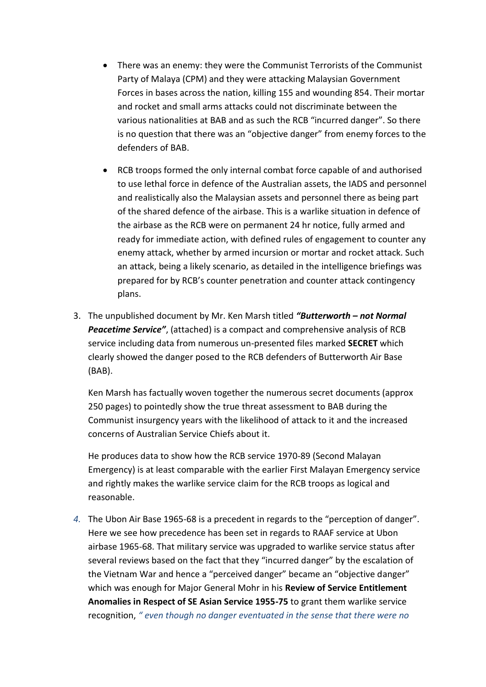- There was an enemy: they were the Communist Terrorists of the Communist Party of Malaya (CPM) and they were attacking Malaysian Government Forces in bases across the nation, killing 155 and wounding 854. Their mortar and rocket and small arms attacks could not discriminate between the various nationalities at BAB and as such the RCB "incurred danger". So there is no question that there was an "objective danger" from enemy forces to the defenders of BAB.
- RCB troops formed the only internal combat force capable of and authorised to use lethal force in defence of the Australian assets, the IADS and personnel and realistically also the Malaysian assets and personnel there as being part of the shared defence of the airbase. This is a warlike situation in defence of the airbase as the RCB were on permanent 24 hr notice, fully armed and ready for immediate action, with defined rules of engagement to counter any enemy attack, whether by armed incursion or mortar and rocket attack. Such an attack, being a likely scenario, as detailed in the intelligence briefings was prepared for by RCB's counter penetration and counter attack contingency plans.
- 3. The unpublished document by Mr. Ken Marsh titled *"Butterworth – not Normal Peacetime Service"*, (attached) is a compact and comprehensive analysis of RCB service including data from numerous un-presented files marked **SECRET** which clearly showed the danger posed to the RCB defenders of Butterworth Air Base (BAB).

Ken Marsh has factually woven together the numerous secret documents (approx 250 pages) to pointedly show the true threat assessment to BAB during the Communist insurgency years with the likelihood of attack to it and the increased concerns of Australian Service Chiefs about it.

He produces data to show how the RCB service 1970-89 (Second Malayan Emergency) is at least comparable with the earlier First Malayan Emergency service and rightly makes the warlike service claim for the RCB troops as logical and reasonable.

*4.* The Ubon Air Base 1965-68 is a precedent in regards to the "perception of danger". Here we see how precedence has been set in regards to RAAF service at Ubon airbase 1965-68. That military service was upgraded to warlike service status after several reviews based on the fact that they "incurred danger" by the escalation of the Vietnam War and hence a "perceived danger" became an "objective danger" which was enough for Major General Mohr in his **Review of Service Entitlement Anomalies in Respect of SE Asian Service 1955-75** to grant them warlike service recognition, *" even though no danger eventuated in the sense that there were no*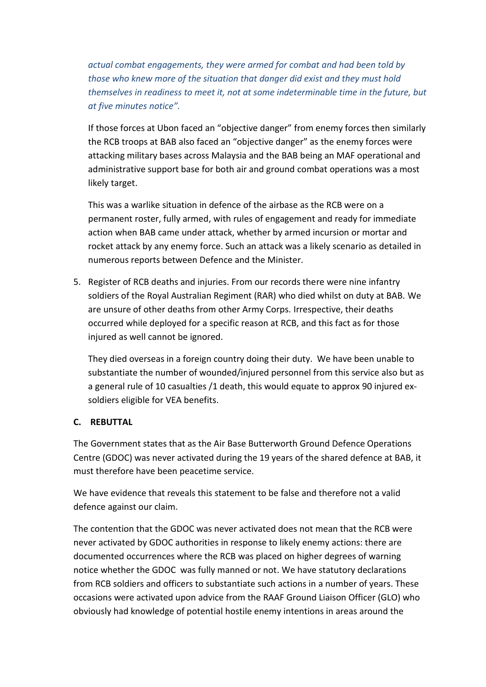*actual combat engagements, they were armed for combat and had been told by those who knew more of the situation that danger did exist and they must hold themselves in readiness to meet it, not at some indeterminable time in the future, but at five minutes notice".* 

If those forces at Ubon faced an "objective danger" from enemy forces then similarly the RCB troops at BAB also faced an "objective danger" as the enemy forces were attacking military bases across Malaysia and the BAB being an MAF operational and administrative support base for both air and ground combat operations was a most likely target.

This was a warlike situation in defence of the airbase as the RCB were on a permanent roster, fully armed, with rules of engagement and ready for immediate action when BAB came under attack, whether by armed incursion or mortar and rocket attack by any enemy force. Such an attack was a likely scenario as detailed in numerous reports between Defence and the Minister.

5. Register of RCB deaths and injuries. From our records there were nine infantry soldiers of the Royal Australian Regiment (RAR) who died whilst on duty at BAB. We are unsure of other deaths from other Army Corps. Irrespective, their deaths occurred while deployed for a specific reason at RCB, and this fact as for those injured as well cannot be ignored.

They died overseas in a foreign country doing their duty. We have been unable to substantiate the number of wounded/injured personnel from this service also but as a general rule of 10 casualties /1 death, this would equate to approx 90 injured exsoldiers eligible for VEA benefits.

## **C. REBUTTAL**

The Government states that as the Air Base Butterworth Ground Defence Operations Centre (GDOC) was never activated during the 19 years of the shared defence at BAB, it must therefore have been peacetime service.

We have evidence that reveals this statement to be false and therefore not a valid defence against our claim.

The contention that the GDOC was never activated does not mean that the RCB were never activated by GDOC authorities in response to likely enemy actions: there are documented occurrences where the RCB was placed on higher degrees of warning notice whether the GDOC was fully manned or not. We have statutory declarations from RCB soldiers and officers to substantiate such actions in a number of years. These occasions were activated upon advice from the RAAF Ground Liaison Officer (GLO) who obviously had knowledge of potential hostile enemy intentions in areas around the